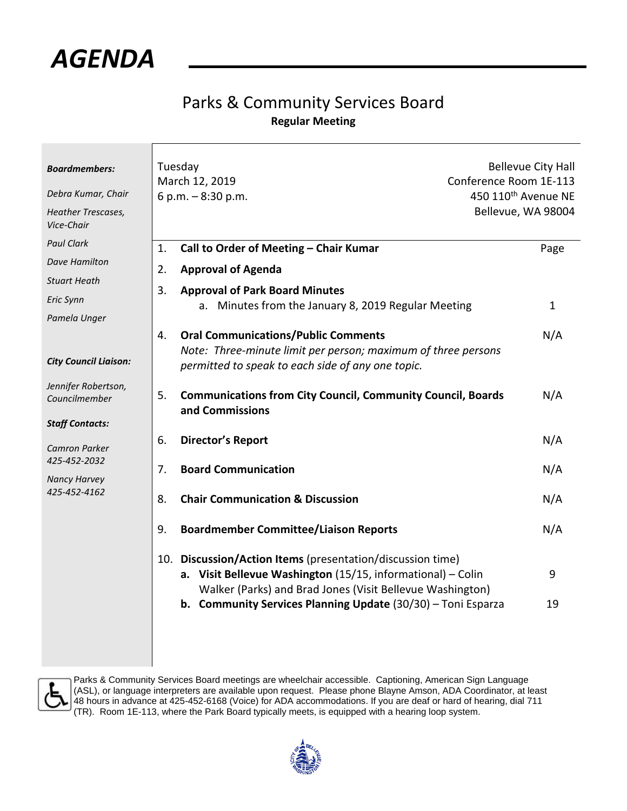

## Parks & Community Services Board **Regular Meeting**

| <b>Boardmembers:</b>                                           | Tuesday<br><b>Bellevue City Hall</b><br>March 12, 2019<br>Conference Room 1E-113                                                                                                                                                                       |                                 |  |
|----------------------------------------------------------------|--------------------------------------------------------------------------------------------------------------------------------------------------------------------------------------------------------------------------------------------------------|---------------------------------|--|
| Debra Kumar, Chair                                             | 6 p.m. - 8:30 p.m.                                                                                                                                                                                                                                     | 450 110 <sup>th</sup> Avenue NE |  |
| Heather Trescases,<br>Vice-Chair                               |                                                                                                                                                                                                                                                        | Bellevue, WA 98004              |  |
| <b>Paul Clark</b>                                              | Call to Order of Meeting - Chair Kumar<br>1.                                                                                                                                                                                                           | Page                            |  |
| <b>Dave Hamilton</b>                                           | 2.<br><b>Approval of Agenda</b>                                                                                                                                                                                                                        |                                 |  |
| <b>Stuart Heath</b>                                            |                                                                                                                                                                                                                                                        |                                 |  |
| Eric Synn                                                      | 3.<br><b>Approval of Park Board Minutes</b><br>a. Minutes from the January 8, 2019 Regular Meeting                                                                                                                                                     | $\mathbf{1}$                    |  |
| Pamela Unger                                                   |                                                                                                                                                                                                                                                        |                                 |  |
| <b>City Council Liaison:</b>                                   | <b>Oral Communications/Public Comments</b><br>4.<br>Note: Three-minute limit per person; maximum of three persons<br>permitted to speak to each side of any one topic.                                                                                 | N/A                             |  |
| Jennifer Robertson,<br>Councilmember<br><b>Staff Contacts:</b> | 5.<br><b>Communications from City Council, Community Council, Boards</b><br>and Commissions                                                                                                                                                            | N/A                             |  |
| <b>Camron Parker</b>                                           | <b>Director's Report</b><br>6.                                                                                                                                                                                                                         | N/A                             |  |
| 425-452-2032<br><b>Nancy Harvey</b>                            | <b>Board Communication</b><br>7.                                                                                                                                                                                                                       | N/A                             |  |
| 425-452-4162                                                   | 8.<br><b>Chair Communication &amp; Discussion</b>                                                                                                                                                                                                      | N/A                             |  |
|                                                                | 9.<br><b>Boardmember Committee/Liaison Reports</b>                                                                                                                                                                                                     | N/A                             |  |
|                                                                | 10. Discussion/Action Items (presentation/discussion time)<br>a. Visit Bellevue Washington (15/15, informational) - Colin<br>Walker (Parks) and Brad Jones (Visit Bellevue Washington)<br>b. Community Services Planning Update (30/30) - Toni Esparza | 9<br>19                         |  |



Parks & Community Services Board meetings are wheelchair accessible. Captioning, American Sign Language (ASL), or language interpreters are available upon request. Please phone Blayne Amson, ADA Coordinator, at least 48 hours in advance at 425-452-6168 (Voice) for ADA accommodations. If you are deaf or hard of hearing, dial 711 (TR). Room 1E-113, where the Park Board typically meets, is equipped with a hearing loop system.